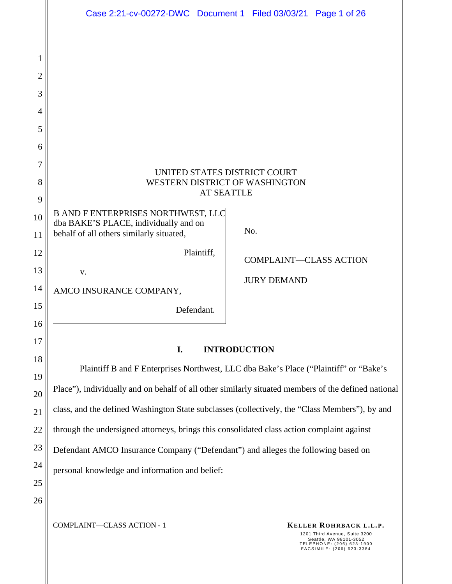|          | Case 2:21-cv-00272-DWC Document 1 Filed 03/03/21 Page 1 of 26                                                                  |                              |                               |  |  |
|----------|--------------------------------------------------------------------------------------------------------------------------------|------------------------------|-------------------------------|--|--|
|          |                                                                                                                                |                              |                               |  |  |
| 1        |                                                                                                                                |                              |                               |  |  |
| 2        |                                                                                                                                |                              |                               |  |  |
| 3        |                                                                                                                                |                              |                               |  |  |
| 4        |                                                                                                                                |                              |                               |  |  |
| 5        |                                                                                                                                |                              |                               |  |  |
| 6        |                                                                                                                                |                              |                               |  |  |
| 7        |                                                                                                                                | UNITED STATES DISTRICT COURT |                               |  |  |
| 8        | WESTERN DISTRICT OF WASHINGTON<br><b>AT SEATTLE</b>                                                                            |                              |                               |  |  |
| 9        |                                                                                                                                |                              |                               |  |  |
| 10<br>11 | <b>B AND F ENTERPRISES NORTHWEST, LLC</b><br>dba BAKE'S PLACE, individually and on<br>behalf of all others similarly situated, |                              | No.                           |  |  |
| 12       |                                                                                                                                | Plaintiff,                   |                               |  |  |
| 13       | V.                                                                                                                             |                              | <b>COMPLAINT-CLASS ACTION</b> |  |  |
| 14       | AMCO INSURANCE COMPANY,                                                                                                        |                              | <b>JURY DEMAND</b>            |  |  |
| 15       | Defendant.                                                                                                                     |                              |                               |  |  |
| 16       |                                                                                                                                |                              |                               |  |  |
| 17       | I.<br><b>INTRODUCTION</b>                                                                                                      |                              |                               |  |  |
| 18       | Plaintiff B and F Enterprises Northwest, LLC dba Bake's Place ("Plaintiff" or "Bake's                                          |                              |                               |  |  |
| 19       | Place"), individually and on behalf of all other similarly situated members of the defined national                            |                              |                               |  |  |
| 20       |                                                                                                                                |                              |                               |  |  |
| 21       | class, and the defined Washington State subclasses (collectively, the "Class Members"), by and                                 |                              |                               |  |  |
| 22       | through the undersigned attorneys, brings this consolidated class action complaint against                                     |                              |                               |  |  |
| 23       | Defendant AMCO Insurance Company ("Defendant") and alleges the following based on                                              |                              |                               |  |  |
| 24<br>25 | personal knowledge and information and belief:                                                                                 |                              |                               |  |  |
| 26       |                                                                                                                                |                              |                               |  |  |
|          |                                                                                                                                |                              |                               |  |  |

**COMPLAINT—CLASS ACTION - 1 KELLER ROHRBACK L.L.P.** 

1201 Third Avenue, Suite 3200 Seattle, WA 98101-3052 T E L E P H O N E : ( 2 0 6 ) 6 2 3 - 1 9 0 0 F A C S I M I L E : ( 2 0 6 ) 6 2 3 - 3 3 8 4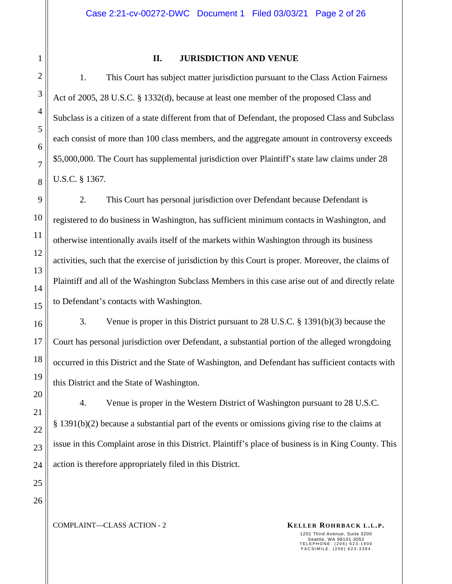### **II. JURISDICTION AND VENUE**

1. This Court has subject matter jurisdiction pursuant to the Class Action Fairness Act of 2005, 28 U.S.C. § 1332(d), because at least one member of the proposed Class and Subclass is a citizen of a state different from that of Defendant, the proposed Class and Subclass each consist of more than 100 class members, and the aggregate amount in controversy exceeds \$5,000,000. The Court has supplemental jurisdiction over Plaintiff's state law claims under 28 U.S.C. § 1367.

2. This Court has personal jurisdiction over Defendant because Defendant is registered to do business in Washington, has sufficient minimum contacts in Washington, and otherwise intentionally avails itself of the markets within Washington through its business activities, such that the exercise of jurisdiction by this Court is proper. Moreover, the claims of Plaintiff and all of the Washington Subclass Members in this case arise out of and directly relate to Defendant's contacts with Washington.

3. Venue is proper in this District pursuant to 28 U.S.C. § 1391(b)(3) because the Court has personal jurisdiction over Defendant, a substantial portion of the alleged wrongdoing occurred in this District and the State of Washington, and Defendant has sufficient contacts with this District and the State of Washington.

4. Venue is proper in the Western District of Washington pursuant to 28 U.S.C. § 1391(b)(2) because a substantial part of the events or omissions giving rise to the claims at issue in this Complaint arose in this District. Plaintiff's place of business is in King County. This action is therefore appropriately filed in this District.

**COMPLAINT—CLASS ACTION - 2 KELLER ROHRBACK L.L.P.**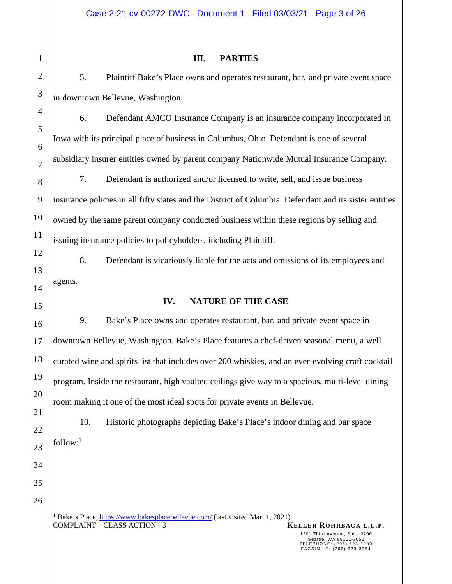# 1 2 3 4 5 6 7 8 9 10 11 12 13 14 15 16 17 18 19 20 21 22 23 24 25 26

# **III. PARTIES**

5. Plaintiff Bake's Place owns and operates restaurant, bar, and private event space in downtown Bellevue, Washington.

6. Defendant AMCO Insurance Company is an insurance company incorporated in Iowa with its principal place of business in Columbus, Ohio. Defendant is one of several subsidiary insurer entities owned by parent company Nationwide Mutual Insurance Company.

7. Defendant is authorized and/or licensed to write, sell, and issue business insurance policies in all fifty states and the District of Columbia. Defendant and its sister entities owned by the same parent company conducted business within these regions by selling and issuing insurance policies to policyholders, including Plaintiff.

8. Defendant is vicariously liable for the acts and omissions of its employees and agents.

## **IV. NATURE OF THE CASE**

9. Bake's Place owns and operates restaurant, bar, and private event space in downtown Bellevue, Washington. Bake's Place features a chef-driven seasonal menu, a well curated wine and spirits list that includes over 200 whiskies, and an ever-evolving craft cocktail program. Inside the restaurant, high vaulted ceilings give way to a spacious, multi-level dining room making it one of the most ideal spots for private events in Bellevue.

10. Historic photographs depicting Bake's Place's indoor dining and bar space  $follow<sup>1</sup>$ 

**COMPLAINT—CLASS ACTION - 3 KELLER ROHRBACK L.L.P.** <sup>1</sup> Bake's Place, https://www.bakesplacebellevue.com/ (last visited Mar. 1, 2021).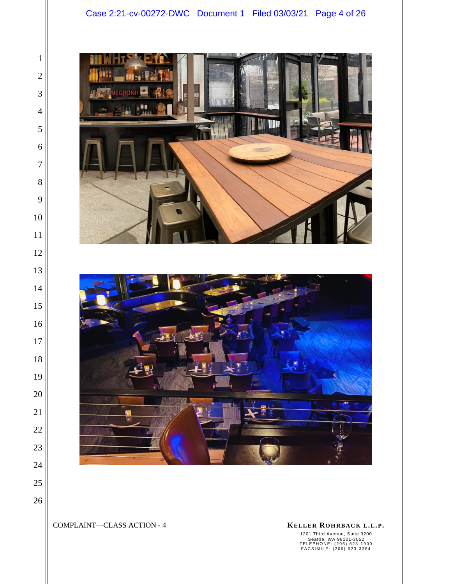# Case 2:21-cv-00272-DWC Document 1 Filed 03/03/21 Page 4 of 26



**COMPLAINT—CLASS ACTION - 4 KELLER ROHRBACK L.L.P.** 

1201 Third Avenue, Suite 3200 Seattle, WA 98101-3052 T E L E P H O N E : ( 2 0 6 ) 6 2 3 - 1 9 0 0 F A C S I M I L E : ( 2 0 6 ) 6 2 3 - 3 3 8 4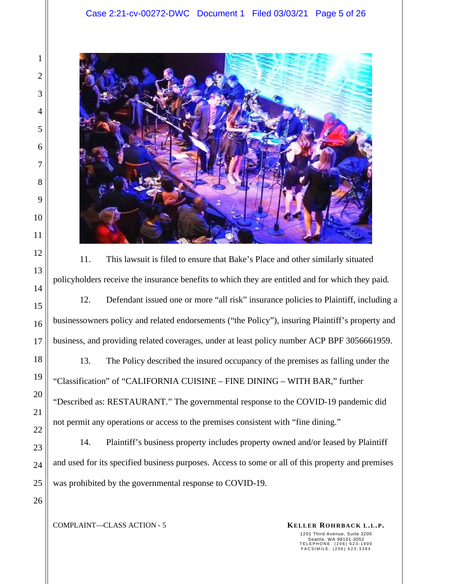### Case 2:21-cv-00272-DWC Document 1 Filed 03/03/21 Page 5 of 26



11. This lawsuit is filed to ensure that Bake's Place and other similarly situated policyholders receive the insurance benefits to which they are entitled and for which they paid.

12. Defendant issued one or more "all risk" insurance policies to Plaintiff, including a businessowners policy and related endorsements ("the Policy"), insuring Plaintiff's property and business, and providing related coverages, under at least policy number ACP BPF 3056661959.

13. The Policy described the insured occupancy of the premises as falling under the "Classification" of "CALIFORNIA CUISINE – FINE DINING – WITH BAR," further "Described as: RESTAURANT." The governmental response to the COVID-19 pandemic did not permit any operations or access to the premises consistent with "fine dining."

14. Plaintiff's business property includes property owned and/or leased by Plaintiff and used for its specified business purposes. Access to some or all of this property and premises was prohibited by the governmental response to COVID-19.

**KELLER ROHRBACK L.L.P. KELLER ROHRBACK L.L.P.**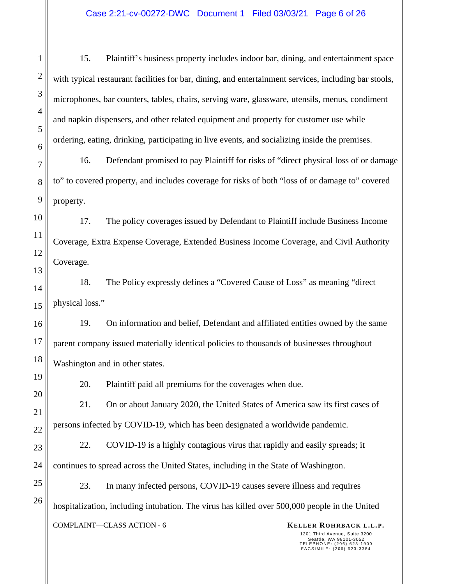15. Plaintiff's business property includes indoor bar, dining, and entertainment space with typical restaurant facilities for bar, dining, and entertainment services, including bar stools, microphones, bar counters, tables, chairs, serving ware, glassware, utensils, menus, condiment and napkin dispensers, and other related equipment and property for customer use while ordering, eating, drinking, participating in live events, and socializing inside the premises.

16. Defendant promised to pay Plaintiff for risks of "direct physical loss of or damage to" to covered property, and includes coverage for risks of both "loss of or damage to" covered property.

17. The policy coverages issued by Defendant to Plaintiff include Business Income Coverage, Extra Expense Coverage, Extended Business Income Coverage, and Civil Authority Coverage.

18. The Policy expressly defines a "Covered Cause of Loss" as meaning "direct physical loss."

19. On information and belief, Defendant and affiliated entities owned by the same parent company issued materially identical policies to thousands of businesses throughout Washington and in other states.

20. Plaintiff paid all premiums for the coverages when due.

21. On or about January 2020, the United States of America saw its first cases of persons infected by COVID-19, which has been designated a worldwide pandemic.

22. COVID-19 is a highly contagious virus that rapidly and easily spreads; it continues to spread across the United States, including in the State of Washington.

**COMPLAINT—CLASS ACTION - 6 KELLER ROHRBACK L.L.P.** 23. In many infected persons, COVID-19 causes severe illness and requires hospitalization, including intubation. The virus has killed over 500,000 people in the United

1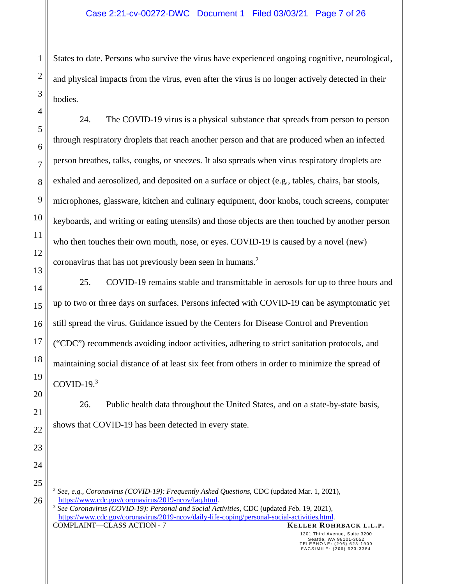## Case 2:21-cv-00272-DWC Document 1 Filed 03/03/21 Page 7 of 26

States to date. Persons who survive the virus have experienced ongoing cognitive, neurological, and physical impacts from the virus, even after the virus is no longer actively detected in their bodies.

24. The COVID-19 virus is a physical substance that spreads from person to person through respiratory droplets that reach another person and that are produced when an infected person breathes, talks, coughs, or sneezes. It also spreads when virus respiratory droplets are exhaled and aerosolized, and deposited on a surface or object (e.g., tables, chairs, bar stools, microphones, glassware, kitchen and culinary equipment, door knobs, touch screens, computer keyboards, and writing or eating utensils) and those objects are then touched by another person who then touches their own mouth, nose, or eyes. COVID-19 is caused by a novel (new) coronavirus that has not previously been seen in humans.<sup>2</sup>

25. COVID-19 remains stable and transmittable in aerosols for up to three hours and up to two or three days on surfaces. Persons infected with COVID-19 can be asymptomatic yet still spread the virus. Guidance issued by the Centers for Disease Control and Prevention ("CDC") recommends avoiding indoor activities, adhering to strict sanitation protocols, and maintaining social distance of at least six feet from others in order to minimize the spread of COVID-19. $3$ 

26. Public health data throughout the United States, and on a state-by-state basis, shows that COVID-19 has been detected in every state.

1201 Third Avenue, Suite 3200 Seattle, WA 98101-3052 T E L E P H O N E : ( 2 0 6 ) 6 2 3 - 1 9 0 0 FAC SIMILE: (206) 623-3384

<sup>2</sup> *See, e.g*., *Coronavirus (COVID-19): Frequently Asked Questions*, CDC (updated Mar. 1, 2021), https://www.cdc.gov/coronavirus/2019-ncov/faq.html.

**COMPLAINT—CLASS ACTION - 7 KELLER ROHRBACK L.L.P.** <sup>3</sup> *See Coronavirus (COVID-19): Personal and Social Activities*, CDC (updated Feb. 19, 2021), https://www.cdc.gov/coronavirus/2019-ncov/daily-life-coping/personal-social-activities.html.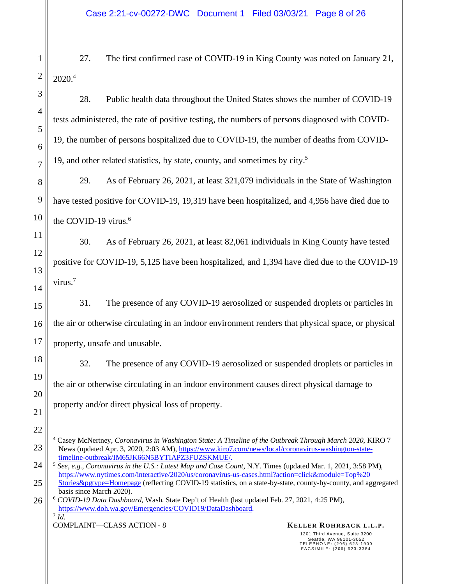27. The first confirmed case of COVID-19 in King County was noted on January 21, 2020.<sup>4</sup>

28. Public health data throughout the United States shows the number of COVID-19 tests administered, the rate of positive testing, the numbers of persons diagnosed with COVID-19, the number of persons hospitalized due to COVID-19, the number of deaths from COVID-19, and other related statistics, by state, county, and sometimes by city.<sup>5</sup>

29. As of February 26, 2021, at least 321,079 individuals in the State of Washington have tested positive for COVID-19, 19,319 have been hospitalized, and 4,956 have died due to the COVID-19 virus.<sup>6</sup>

30. As of February 26, 2021, at least 82,061 individuals in King County have tested positive for COVID-19, 5,125 have been hospitalized, and 1,394 have died due to the COVID-19 virus.<sup>7</sup>

31. The presence of any COVID-19 aerosolized or suspended droplets or particles in the air or otherwise circulating in an indoor environment renders that physical space, or physical property, unsafe and unusable.

32. The presence of any COVID-19 aerosolized or suspended droplets or particles in the air or otherwise circulating in an indoor environment causes direct physical damage to property and/or direct physical loss of property.

<sup>4</sup> Casey McNertney, *Coronavirus in Washington State: A Timeline of the Outbreak Through March 2020*, KIRO 7 News (updated Apr. 3, 2020, 2:03 AM), https://www.kiro7.com/news/local/coronavirus-washington-statetimeline-outbreak/IM65JK66N5BYTIAPZ3FUZSKMUE/.

<sup>5</sup> *See, e.g*., *Coronavirus in the U.S.: Latest Map and Case Count*, N.Y. Times (updated Mar. 1, 2021, 3:58 PM), https://www.nytimes.com/interactive/2020/us/coronavirus-us-cases.html?action=click&module=Top%20 Stories&pgtype=Homepage (reflecting COVID-19 statistics, on a state-by-state, county-by-county, and aggregated basis since March 2020).

<sup>6</sup> *COVID-19 Data Dashboard*, Wash. State Dep't of Health (last updated Feb. 27, 2021, 4:25 PM), https://www.doh.wa.gov/Emergencies/COVID19/DataDashboard. 7 *Id.*

**COMPLAINT—CLASS ACTION - 8 KELLER ROHRBACK L.L.P.**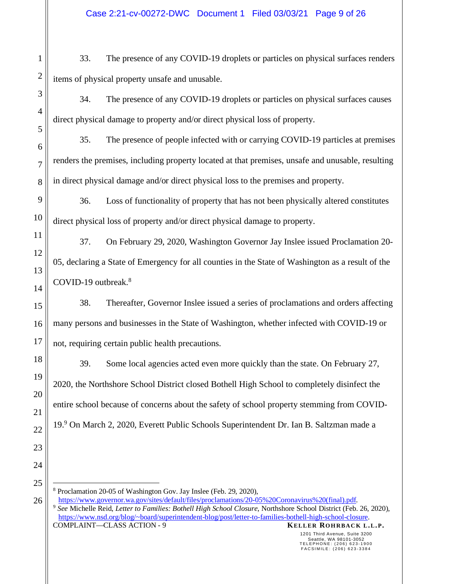33. The presence of any COVID-19 droplets or particles on physical surfaces renders items of physical property unsafe and unusable.

34. The presence of any COVID-19 droplets or particles on physical surfaces causes direct physical damage to property and/or direct physical loss of property.

35. The presence of people infected with or carrying COVID-19 particles at premises renders the premises, including property located at that premises, unsafe and unusable, resulting in direct physical damage and/or direct physical loss to the premises and property.

36. Loss of functionality of property that has not been physically altered constitutes direct physical loss of property and/or direct physical damage to property.

37. On February 29, 2020, Washington Governor Jay Inslee issued Proclamation 20- 05, declaring a State of Emergency for all counties in the State of Washington as a result of the COVID-19 outbreak.<sup>8</sup>

38. Thereafter, Governor Inslee issued a series of proclamations and orders affecting many persons and businesses in the State of Washington, whether infected with COVID-19 or not, requiring certain public health precautions.

39. Some local agencies acted even more quickly than the state. On February 27, 2020, the Northshore School District closed Bothell High School to completely disinfect the entire school because of concerns about the safety of school property stemming from COVID-19.<sup>9</sup> On March 2, 2020, Everett Public Schools Superintendent Dr. Ian B. Saltzman made a

- 8 Proclamation 20-05 of Washington Gov. Jay Inslee (Feb. 29, 2020),
- **COMPLAINT—CLASS ACTION 9 KELLER ROHRBACK L.L.P.** https://www.governor.wa.gov/sites/default/files/proclamations/20-05%20Coronavirus%20(final).pdf. <sup>9</sup> *See* Michelle Reid, *Letter to Families: Bothell High School Closure*, Northshore School District (Feb. 26, 2020), https://www.nsd.org/blog/~board/superintendent-blog/post/letter-to-families-bothell-high-school-closure.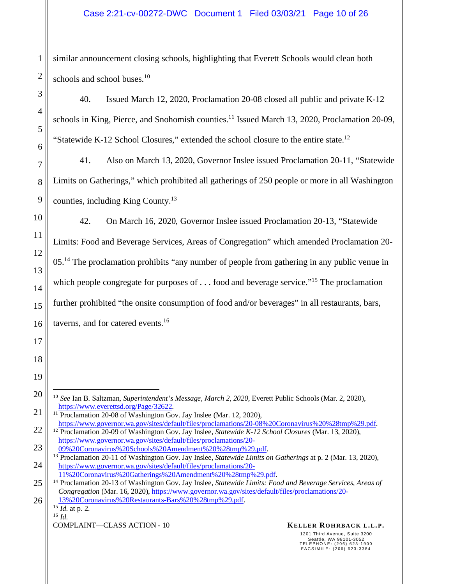# Case 2:21-cv-00272-DWC Document 1 Filed 03/03/21 Page 10 of 26

similar announcement closing schools, highlighting that Everett Schools would clean both schools and school buses.<sup>10</sup>

40. Issued March 12, 2020, Proclamation 20-08 closed all public and private K-12 schools in King, Pierce, and Snohomish counties.<sup>11</sup> Issued March 13, 2020, Proclamation 20-09, "Statewide K-12 School Closures," extended the school closure to the entire state.<sup>12</sup>

41. Also on March 13, 2020, Governor Inslee issued Proclamation 20-11, "Statewide Limits on Gatherings," which prohibited all gatherings of 250 people or more in all Washington counties, including King County.<sup>13</sup>

42. On March 16, 2020, Governor Inslee issued Proclamation 20-13, "Statewide Limits: Food and Beverage Services, Areas of Congregation" which amended Proclamation 20- 05.<sup>14</sup> The proclamation prohibits "any number of people from gathering in any public venue in which people congregate for purposes of  $\dots$  food and beverage service."<sup>15</sup> The proclamation further prohibited "the onsite consumption of food and/or beverages" in all restaurants, bars, taverns, and for catered events.<sup>16</sup>

1

2

3

4

5

6

7

8

9

10

11

12

13

14

15

16

17

18

19

20

23

24

1201 Third Avenue, Suite 3200 Seattle, WA 98101-3052 T E L E P H O N E : ( 2 0 6 ) 6 2 3 - 1 9 0 0 FAC SIMILE: (206) 623-3384

<sup>10</sup> *See* Ian B. Saltzman, *Superintendent's Message, March 2, 2020*, Everett Public Schools (Mar. 2, 2020), https://www.everettsd.org/Page/32622.

<sup>21</sup>  22 <sup>11</sup> Proclamation 20-08 of Washington Gov. Jay Inslee (Mar. 12, 2020), https://www.governor.wa.gov/sites/default/files/proclamations/20-08%20Coronavirus%20%28tmp%29.pdf. <sup>12</sup> Proclamation 20-09 of Washington Gov. Jay Inslee, *Statewide K-12 School Closures* (Mar. 13, 2020), https://www.governor.wa.gov/sites/default/files/proclamations/20-

<sup>09%20</sup>Coronavirus%20Schools%20Amendment%20%28tmp%29.pdf.

<sup>13</sup> Proclamation 20-11 of Washington Gov. Jay Inslee, *Statewide Limits on Gatherings* at p. 2 (Mar. 13, 2020), https://www.governor.wa.gov/sites/default/files/proclamations/20- 11%20Coronavirus%20Gatherings%20Amendment%20%28tmp%29.pdf.

<sup>25</sup>  26 <sup>14</sup> Proclamation 20-13 of Washington Gov. Jay Inslee, *Statewide Limits: Food and Beverage Services, Areas of Congregation* (Mar. 16, 2020), https://www.governor.wa.gov/sites/default/files/proclamations/20- 13%20Coronavirus%20Restaurants-Bars%20%28tmp%29.pdf.

<sup>15</sup> *Id.* at p. 2.  $16$  *Id.* 

**COMPLAINT—CLASS ACTION - 10 KELLER ROHRBACK L.L.P.**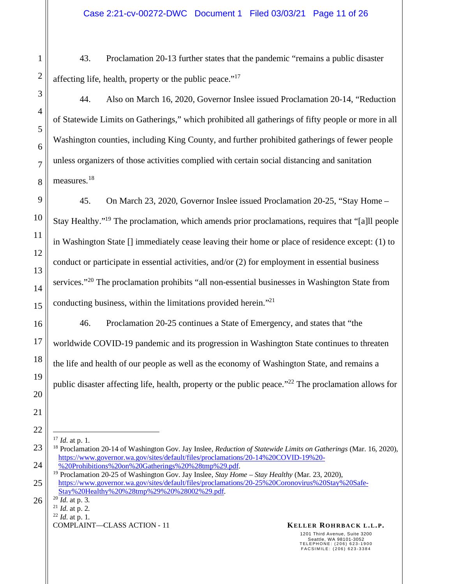43. Proclamation 20-13 further states that the pandemic "remains a public disaster affecting life, health, property or the public peace."<sup>17</sup>

44. Also on March 16, 2020, Governor Inslee issued Proclamation 20-14, "Reduction of Statewide Limits on Gatherings," which prohibited all gatherings of fifty people or more in all Washington counties, including King County, and further prohibited gatherings of fewer people unless organizers of those activities complied with certain social distancing and sanitation measures.<sup>18</sup>

45. On March 23, 2020, Governor Inslee issued Proclamation 20-25, "Stay Home – Stay Healthy."<sup>19</sup> The proclamation, which amends prior proclamations, requires that "[a]ll people in Washington State [] immediately cease leaving their home or place of residence except: (1) to conduct or participate in essential activities, and/or (2) for employment in essential business services."<sup>20</sup> The proclamation prohibits "all non-essential businesses in Washington State from conducting business, within the limitations provided herein."<sup>21</sup>

46. Proclamation 20-25 continues a State of Emergency, and states that "the worldwide COVID-19 pandemic and its progression in Washington State continues to threaten the life and health of our people as well as the economy of Washington State, and remains a public disaster affecting life, health, property or the public peace."<sup>22</sup> The proclamation allows for

<sup>17</sup> *Id.* at p. 1.

<sup>20</sup> *Id.* at p. 3.  $^{21}$  *Id.* at p. 2. <sup>22</sup> *Id.* at p. 1.

**COMPLAINT—CLASS ACTION - 11 KELLER ROHRBACK L.L.P.** 

1201 Third Avenue, Suite 3200 Seattle, WA 98101-3052 T E L E P H O N E : ( 2 0 6 ) 6 2 3 - 1 9 0 0 FAC SIMILE: (206) 623-3384

<sup>18</sup> Proclamation 20-14 of Washington Gov. Jay Inslee, *Reduction of Statewide Limits on Gatherings* (Mar. 16, 2020), https://www.governor.wa.gov/sites/default/files/proclamations/20-14%20COVID-19%20- %20Prohibitions%20on%20Gatherings%20%28tmp%29.pdf.

<sup>19</sup> Proclamation 20-25 of Washington Gov. Jay Inslee, *Stay Home – Stay Healthy* (Mar. 23, 2020), https://www.governor.wa.gov/sites/default/files/proclamations/20-25%20Coronovirus%20Stay%20Safe-Stay%20Healthy%20%28tmp%29%20%28002%29.pdf.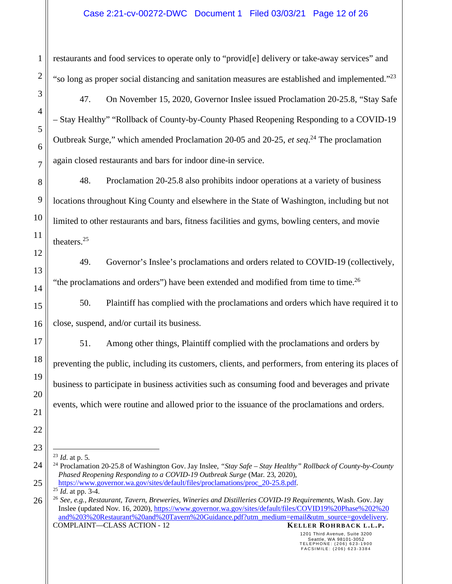# Case 2:21-cv-00272-DWC Document 1 Filed 03/03/21 Page 12 of 26

restaurants and food services to operate only to "provid[e] delivery or take-away services" and "so long as proper social distancing and sanitation measures are established and implemented."<sup>23</sup>

47. On November 15, 2020, Governor Inslee issued Proclamation 20-25.8, "Stay Safe *–* Stay Healthy" "Rollback of County-by-County Phased Reopening Responding to a COVID-19 Outbreak Surge," which amended Proclamation 20-05 and 20-25, *et seq*. <sup>24</sup> The proclamation again closed restaurants and bars for indoor dine-in service.

48. Proclamation 20-25.8 also prohibits indoor operations at a variety of business locations throughout King County and elsewhere in the State of Washington, including but not limited to other restaurants and bars, fitness facilities and gyms, bowling centers, and movie theaters.<sup>25</sup>

49. Governor's Inslee's proclamations and orders related to COVID-19 (collectively, "the proclamations and orders") have been extended and modified from time to time.<sup>26</sup>

50. Plaintiff has complied with the proclamations and orders which have required it to close, suspend, and/or curtail its business.

51. Among other things, Plaintiff complied with the proclamations and orders by preventing the public, including its customers, clients, and performers, from entering its places of business to participate in business activities such as consuming food and beverages and private events, which were routine and allowed prior to the issuance of the proclamations and orders.

1

<sup>23</sup> *Id.* at p. 5.

<sup>24</sup> Proclamation 20-25.8 of Washington Gov. Jay Inslee, *"Stay Safe – Stay Healthy" Rollback of County-by-County Phased Reopening Responding to a COVID-19 Outbreak Surge* (Mar. 23, 2020), https://www.governor.wa.gov/sites/default/files/proclamations/proc\_20-25.8.pdf.

 $\overline{25}$  *Id.* at pp. 3-4.

**COMPLAINT—CLASS ACTION - 12 KELLER ROHRBACK L.L.P.** 26 <sup>26</sup> *See, e.g.*, *Restaurant, Tavern, Breweries, Wineries and Distilleries COVID-19 Requirements*, Wash. Gov. Jay Inslee (updated Nov. 16, 2020), https://www.governor.wa.gov/sites/default/files/COVID19%20Phase%202%20 and%203%20Restaurant%20and%20Tavern%20Guidance.pdf?utm\_medium=email&utm\_source=govdelivery.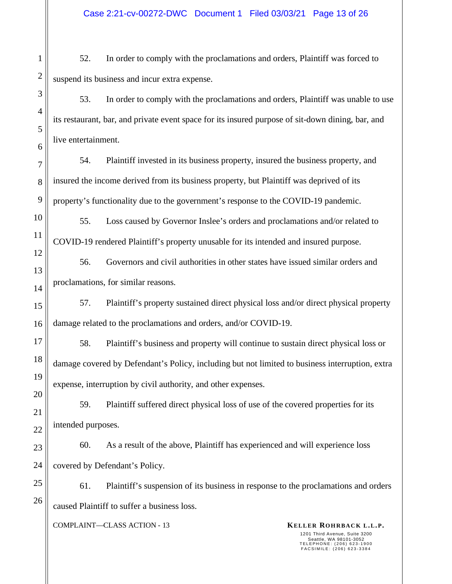52. In order to comply with the proclamations and orders, Plaintiff was forced to suspend its business and incur extra expense.

53. In order to comply with the proclamations and orders, Plaintiff was unable to use its restaurant, bar, and private event space for its insured purpose of sit-down dining, bar, and live entertainment.

54. Plaintiff invested in its business property, insured the business property, and insured the income derived from its business property, but Plaintiff was deprived of its property's functionality due to the government's response to the COVID-19 pandemic.

55. Loss caused by Governor Inslee's orders and proclamations and/or related to COVID-19 rendered Plaintiff's property unusable for its intended and insured purpose.

56. Governors and civil authorities in other states have issued similar orders and proclamations, for similar reasons.

57. Plaintiff's property sustained direct physical loss and/or direct physical property damage related to the proclamations and orders, and/or COVID-19.

58. Plaintiff's business and property will continue to sustain direct physical loss or damage covered by Defendant's Policy, including but not limited to business interruption, extra expense, interruption by civil authority, and other expenses.

59. Plaintiff suffered direct physical loss of use of the covered properties for its intended purposes.

60. As a result of the above, Plaintiff has experienced and will experience loss covered by Defendant's Policy.

61. Plaintiff's suspension of its business in response to the proclamations and orders caused Plaintiff to suffer a business loss.

**COMPLAINT—CLASS ACTION - 13 KELLER ROHRBACK L.L.P.**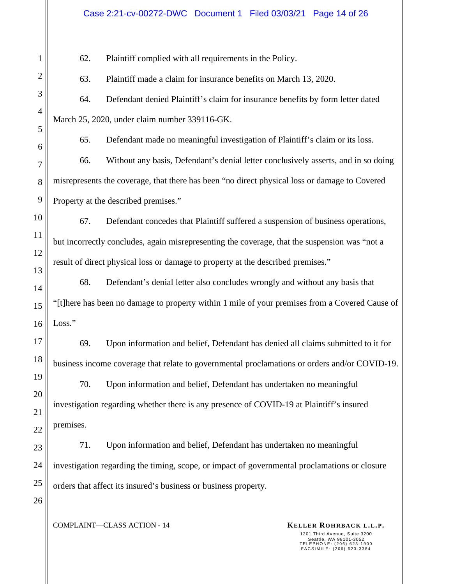#### Case 2:21-cv-00272-DWC Document 1 Filed 03/03/21 Page 14 of 26

62. Plaintiff complied with all requirements in the Policy.

1

2

3

4

5

6

7

8

9

10

11

12

13

14

15

16

17

18

19

20

21

22

23

24

25

26

63. Plaintiff made a claim for insurance benefits on March 13, 2020.

64. Defendant denied Plaintiff's claim for insurance benefits by form letter dated March 25, 2020, under claim number 339116-GK.

65. Defendant made no meaningful investigation of Plaintiff's claim or its loss.

66. Without any basis, Defendant's denial letter conclusively asserts, and in so doing misrepresents the coverage, that there has been "no direct physical loss or damage to Covered Property at the described premises."

67. Defendant concedes that Plaintiff suffered a suspension of business operations, but incorrectly concludes, again misrepresenting the coverage, that the suspension was "not a result of direct physical loss or damage to property at the described premises."

68. Defendant's denial letter also concludes wrongly and without any basis that "[t]here has been no damage to property within 1 mile of your premises from a Covered Cause of Loss."

69. Upon information and belief, Defendant has denied all claims submitted to it for business income coverage that relate to governmental proclamations or orders and/or COVID-19.

70. Upon information and belief, Defendant has undertaken no meaningful investigation regarding whether there is any presence of COVID-19 at Plaintiff's insured premises.

71. Upon information and belief, Defendant has undertaken no meaningful investigation regarding the timing, scope, or impact of governmental proclamations or closure orders that affect its insured's business or business property.

**COMPLAINT—CLASS ACTION - 14 KELLER ROHRBACK L.L.P.**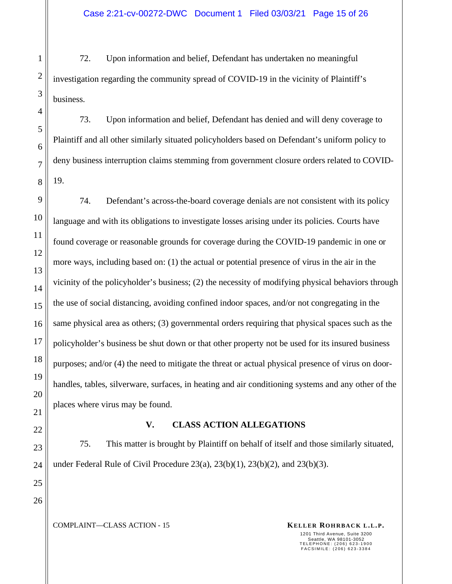72. Upon information and belief, Defendant has undertaken no meaningful investigation regarding the community spread of COVID-19 in the vicinity of Plaintiff's business.

73. Upon information and belief, Defendant has denied and will deny coverage to Plaintiff and all other similarly situated policyholders based on Defendant's uniform policy to deny business interruption claims stemming from government closure orders related to COVID-19.

74. Defendant's across-the-board coverage denials are not consistent with its policy language and with its obligations to investigate losses arising under its policies. Courts have found coverage or reasonable grounds for coverage during the COVID-19 pandemic in one or more ways, including based on: (1) the actual or potential presence of virus in the air in the vicinity of the policyholder's business; (2) the necessity of modifying physical behaviors through the use of social distancing, avoiding confined indoor spaces, and/or not congregating in the same physical area as others; (3) governmental orders requiring that physical spaces such as the policyholder's business be shut down or that other property not be used for its insured business purposes; and/or (4) the need to mitigate the threat or actual physical presence of virus on doorhandles, tables, silverware, surfaces, in heating and air conditioning systems and any other of the places where virus may be found.

### **V. CLASS ACTION ALLEGATIONS**

75. This matter is brought by Plaintiff on behalf of itself and those similarly situated, under Federal Rule of Civil Procedure  $23(a)$ ,  $23(b)(1)$ ,  $23(b)(2)$ , and  $23(b)(3)$ .

25 26

1

2

3

4

5

6

7

8

9

10

11

12

13

14

15

16

17

18

19

20

21

22

23

24

#### **COMPLAINT—CLASS ACTION - 15 KELLER ROHRBACK L.L.P.**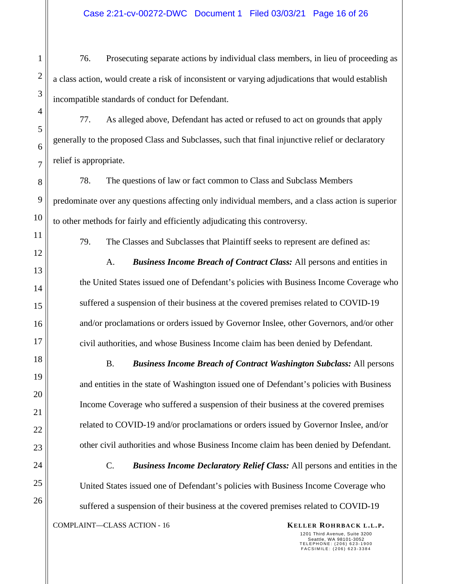76. Prosecuting separate actions by individual class members, in lieu of proceeding as a class action, would create a risk of inconsistent or varying adjudications that would establish incompatible standards of conduct for Defendant.

77. As alleged above, Defendant has acted or refused to act on grounds that apply generally to the proposed Class and Subclasses, such that final injunctive relief or declaratory relief is appropriate.

78. The questions of law or fact common to Class and Subclass Members predominate over any questions affecting only individual members, and a class action is superior to other methods for fairly and efficiently adjudicating this controversy.

79. The Classes and Subclasses that Plaintiff seeks to represent are defined as:

A. *Business Income Breach of Contract Class:* All persons and entities in the United States issued one of Defendant's policies with Business Income Coverage who suffered a suspension of their business at the covered premises related to COVID-19 and/or proclamations or orders issued by Governor Inslee, other Governors, and/or other civil authorities, and whose Business Income claim has been denied by Defendant.

B. *Business Income Breach of Contract Washington Subclass:* All persons and entities in the state of Washington issued one of Defendant's policies with Business Income Coverage who suffered a suspension of their business at the covered premises related to COVID-19 and/or proclamations or orders issued by Governor Inslee, and/or other civil authorities and whose Business Income claim has been denied by Defendant.

**COMPLAINT—CLASS ACTION - 16 KELLER ROHRBACK L.L.P.** C. *Business Income Declaratory Relief Class:* All persons and entities in the United States issued one of Defendant's policies with Business Income Coverage who suffered a suspension of their business at the covered premises related to COVID-19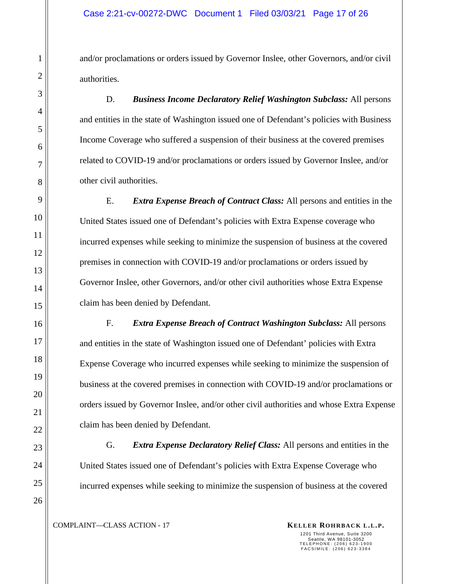and/or proclamations or orders issued by Governor Inslee, other Governors, and/or civil authorities.

D. *Business Income Declaratory Relief Washington Subclass:* All persons and entities in the state of Washington issued one of Defendant's policies with Business Income Coverage who suffered a suspension of their business at the covered premises related to COVID-19 and/or proclamations or orders issued by Governor Inslee, and/or other civil authorities.

E. *Extra Expense Breach of Contract Class:* All persons and entities in the United States issued one of Defendant's policies with Extra Expense coverage who incurred expenses while seeking to minimize the suspension of business at the covered premises in connection with COVID-19 and/or proclamations or orders issued by Governor Inslee, other Governors, and/or other civil authorities whose Extra Expense claim has been denied by Defendant.

F. *Extra Expense Breach of Contract Washington Subclass:* All persons and entities in the state of Washington issued one of Defendant' policies with Extra Expense Coverage who incurred expenses while seeking to minimize the suspension of business at the covered premises in connection with COVID-19 and/or proclamations or orders issued by Governor Inslee, and/or other civil authorities and whose Extra Expense claim has been denied by Defendant.

G. *Extra Expense Declaratory Relief Class:* All persons and entities in the United States issued one of Defendant's policies with Extra Expense Coverage who incurred expenses while seeking to minimize the suspension of business at the covered

**COMPLAINT—CLASS ACTION - 17 KELLER ROHRBACK L.L.P.**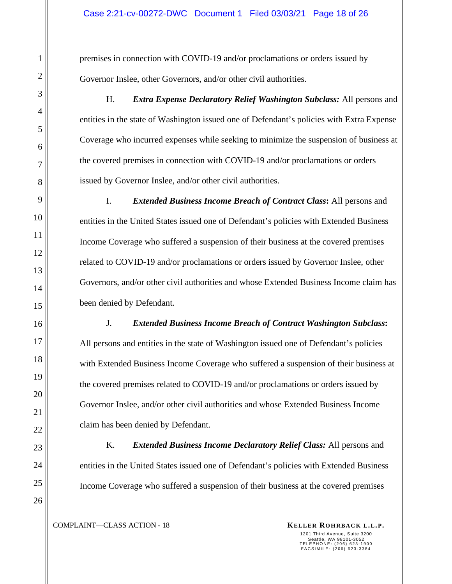premises in connection with COVID-19 and/or proclamations or orders issued by Governor Inslee, other Governors, and/or other civil authorities.

H. *Extra Expense Declaratory Relief Washington Subclass:* All persons and entities in the state of Washington issued one of Defendant's policies with Extra Expense Coverage who incurred expenses while seeking to minimize the suspension of business at the covered premises in connection with COVID-19 and/or proclamations or orders issued by Governor Inslee, and/or other civil authorities.

I. *Extended Business Income Breach of Contract Class***:** All persons and entities in the United States issued one of Defendant's policies with Extended Business Income Coverage who suffered a suspension of their business at the covered premises related to COVID-19 and/or proclamations or orders issued by Governor Inslee, other Governors, and/or other civil authorities and whose Extended Business Income claim has been denied by Defendant.

J. *Extended Business Income Breach of Contract Washington Subclass***:**  All persons and entities in the state of Washington issued one of Defendant's policies with Extended Business Income Coverage who suffered a suspension of their business at the covered premises related to COVID-19 and/or proclamations or orders issued by Governor Inslee, and/or other civil authorities and whose Extended Business Income claim has been denied by Defendant.

K. *Extended Business Income Declaratory Relief Class:* All persons and entities in the United States issued one of Defendant's policies with Extended Business Income Coverage who suffered a suspension of their business at the covered premises

**COMPLAINT—CLASS ACTION - 18 KELLER ROHRBACK L.L.P.**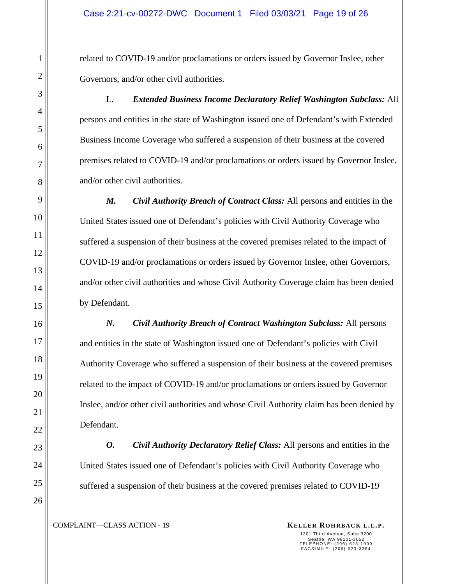related to COVID-19 and/or proclamations or orders issued by Governor Inslee, other Governors, and/or other civil authorities.

L. *Extended Business Income Declaratory Relief Washington Subclass:* All persons and entities in the state of Washington issued one of Defendant's with Extended Business Income Coverage who suffered a suspension of their business at the covered premises related to COVID-19 and/or proclamations or orders issued by Governor Inslee, and/or other civil authorities.

*M. Civil Authority Breach of Contract Class:* All persons and entities in the United States issued one of Defendant's policies with Civil Authority Coverage who suffered a suspension of their business at the covered premises related to the impact of COVID-19 and/or proclamations or orders issued by Governor Inslee, other Governors, and/or other civil authorities and whose Civil Authority Coverage claim has been denied by Defendant.

*N. Civil Authority Breach of Contract Washington Subclass:* All persons and entities in the state of Washington issued one of Defendant's policies with Civil Authority Coverage who suffered a suspension of their business at the covered premises related to the impact of COVID-19 and/or proclamations or orders issued by Governor Inslee, and/or other civil authorities and whose Civil Authority claim has been denied by Defendant.

*O. Civil Authority Declaratory Relief Class:* All persons and entities in the United States issued one of Defendant's policies with Civil Authority Coverage who suffered a suspension of their business at the covered premises related to COVID-19

**COMPLAINT—CLASS ACTION - 19 KELLER ROHRBACK L.L.P.**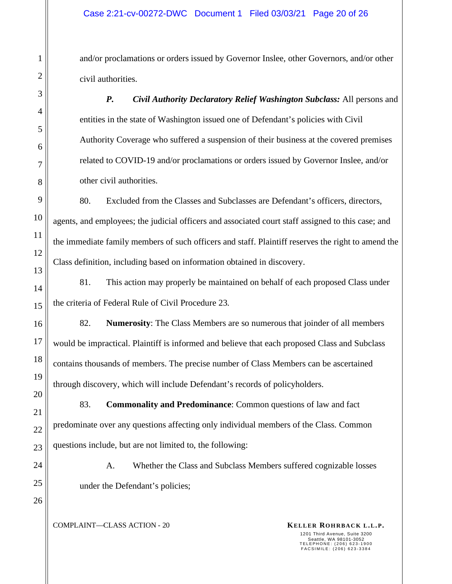and/or proclamations or orders issued by Governor Inslee, other Governors, and/or other civil authorities.

*P. Civil Authority Declaratory Relief Washington Subclass:* All persons and entities in the state of Washington issued one of Defendant's policies with Civil Authority Coverage who suffered a suspension of their business at the covered premises related to COVID-19 and/or proclamations or orders issued by Governor Inslee, and/or other civil authorities.

80. Excluded from the Classes and Subclasses are Defendant's officers, directors, agents, and employees; the judicial officers and associated court staff assigned to this case; and the immediate family members of such officers and staff. Plaintiff reserves the right to amend the Class definition, including based on information obtained in discovery.

81. This action may properly be maintained on behalf of each proposed Class under the criteria of Federal Rule of Civil Procedure 23.

82. **Numerosity**: The Class Members are so numerous that joinder of all members would be impractical. Plaintiff is informed and believe that each proposed Class and Subclass contains thousands of members. The precise number of Class Members can be ascertained through discovery, which will include Defendant's records of policyholders.

83. **Commonality and Predominance**: Common questions of law and fact predominate over any questions affecting only individual members of the Class. Common questions include, but are not limited to, the following:

A. Whether the Class and Subclass Members suffered cognizable losses under the Defendant's policies;

**COMPLAINT—CLASS ACTION - 20 KELLER ROHRBACK L.L.P.**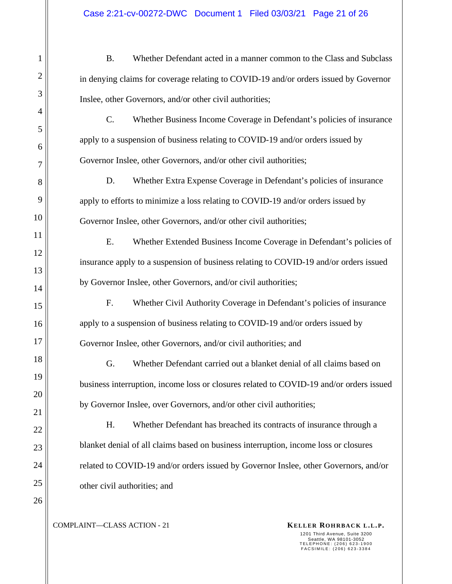B. Whether Defendant acted in a manner common to the Class and Subclass in denying claims for coverage relating to COVID-19 and/or orders issued by Governor Inslee, other Governors, and/or other civil authorities;

C. Whether Business Income Coverage in Defendant's policies of insurance apply to a suspension of business relating to COVID-19 and/or orders issued by Governor Inslee, other Governors, and/or other civil authorities;

D. Whether Extra Expense Coverage in Defendant's policies of insurance apply to efforts to minimize a loss relating to COVID-19 and/or orders issued by Governor Inslee, other Governors, and/or other civil authorities;

E. Whether Extended Business Income Coverage in Defendant's policies of insurance apply to a suspension of business relating to COVID-19 and/or orders issued by Governor Inslee, other Governors, and/or civil authorities;

F. Whether Civil Authority Coverage in Defendant's policies of insurance apply to a suspension of business relating to COVID-19 and/or orders issued by Governor Inslee, other Governors, and/or civil authorities; and

G. Whether Defendant carried out a blanket denial of all claims based on business interruption, income loss or closures related to COVID-19 and/or orders issued by Governor Inslee, over Governors, and/or other civil authorities;

H. Whether Defendant has breached its contracts of insurance through a blanket denial of all claims based on business interruption, income loss or closures related to COVID-19 and/or orders issued by Governor Inslee, other Governors, and/or other civil authorities; and

**COMPLAINT—CLASS ACTION - 21 KELLER ROHRBACK L.L.P.**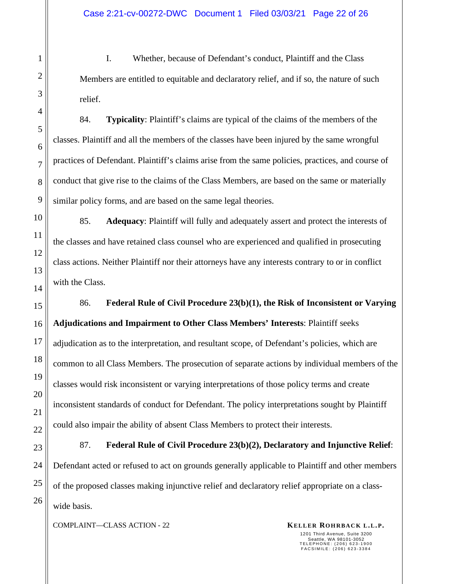I. Whether, because of Defendant's conduct, Plaintiff and the Class Members are entitled to equitable and declaratory relief, and if so, the nature of such relief.

84. **Typicality**: Plaintiff's claims are typical of the claims of the members of the classes. Plaintiff and all the members of the classes have been injured by the same wrongful practices of Defendant. Plaintiff's claims arise from the same policies, practices, and course of conduct that give rise to the claims of the Class Members, are based on the same or materially similar policy forms, and are based on the same legal theories.

85. **Adequacy**: Plaintiff will fully and adequately assert and protect the interests of the classes and have retained class counsel who are experienced and qualified in prosecuting class actions. Neither Plaintiff nor their attorneys have any interests contrary to or in conflict with the Class.

86. **Federal Rule of Civil Procedure 23(b)(1), the Risk of Inconsistent or Varying Adjudications and Impairment to Other Class Members' Interests**: Plaintiff seeks adjudication as to the interpretation, and resultant scope, of Defendant's policies, which are common to all Class Members. The prosecution of separate actions by individual members of the classes would risk inconsistent or varying interpretations of those policy terms and create inconsistent standards of conduct for Defendant. The policy interpretations sought by Plaintiff could also impair the ability of absent Class Members to protect their interests.

87. **Federal Rule of Civil Procedure 23(b)(2), Declaratory and Injunctive Relief**: Defendant acted or refused to act on grounds generally applicable to Plaintiff and other members of the proposed classes making injunctive relief and declaratory relief appropriate on a classwide basis.

**COMPLAINT—CLASS ACTION - 22 KELLER ROHRBACK L.L.P.**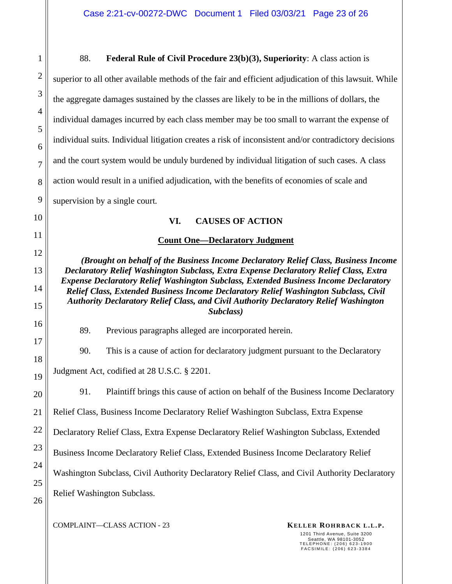3 4 5 6 7 8 9 10 11 12 13 14 15 16 17 18 19 20 21 22 23 24 25 26 88. **Federal Rule of Civil Procedure 23(b)(3), Superiority**: A class action is superior to all other available methods of the fair and efficient adjudication of this lawsuit. While the aggregate damages sustained by the classes are likely to be in the millions of dollars, the individual damages incurred by each class member may be too small to warrant the expense of individual suits. Individual litigation creates a risk of inconsistent and/or contradictory decisions and the court system would be unduly burdened by individual litigation of such cases. A class action would result in a unified adjudication, with the benefits of economies of scale and supervision by a single court. **VI. CAUSES OF ACTION Count One—Declaratory Judgment**  *(Brought on behalf of the Business Income Declaratory Relief Class, Business Income Declaratory Relief Washington Subclass, Extra Expense Declaratory Relief Class, Extra Expense Declaratory Relief Washington Subclass, Extended Business Income Declaratory Relief Class, Extended Business Income Declaratory Relief Washington Subclass, Civil Authority Declaratory Relief Class, and Civil Authority Declaratory Relief Washington Subclass)*  89. Previous paragraphs alleged are incorporated herein. 90. This is a cause of action for declaratory judgment pursuant to the Declaratory Judgment Act, codified at 28 U.S.C. § 2201. 91. Plaintiff brings this cause of action on behalf of the Business Income Declaratory Relief Class, Business Income Declaratory Relief Washington Subclass, Extra Expense Declaratory Relief Class, Extra Expense Declaratory Relief Washington Subclass, Extended Business Income Declaratory Relief Class, Extended Business Income Declaratory Relief Washington Subclass, Civil Authority Declaratory Relief Class, and Civil Authority Declaratory Relief Washington Subclass.

**COMPLAINT—CLASS ACTION - 23 KELLER ROHRBACK L.L.P.** 

1

2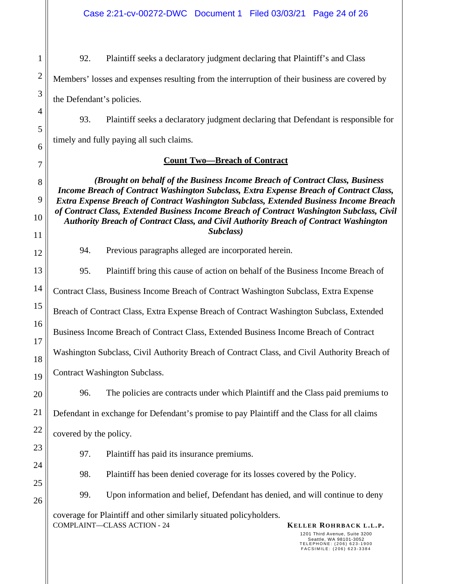**COMPLAINT—CLASS ACTION - 24 KELLER ROHRBACK L.L.P.** 1201 Third Avenue, Suite 3200 Seattle, WA 98101-3052<br>TELEPHONE: (206) 623-1900<br>FACSIMILE: (206) 623-3384 1 2 3 4 5 6 7 8 9 10 11 12 13 14 15 16 17 18 19 20 21 22 23 24 25 26 92. Plaintiff seeks a declaratory judgment declaring that Plaintiff's and Class Members' losses and expenses resulting from the interruption of their business are covered by the Defendant's policies. 93. Plaintiff seeks a declaratory judgment declaring that Defendant is responsible for timely and fully paying all such claims. **Count Two—Breach of Contract**  *(Brought on behalf of the Business Income Breach of Contract Class, Business Income Breach of Contract Washington Subclass, Extra Expense Breach of Contract Class, Extra Expense Breach of Contract Washington Subclass, Extended Business Income Breach of Contract Class, Extended Business Income Breach of Contract Washington Subclass, Civil Authority Breach of Contract Class, and Civil Authority Breach of Contract Washington Subclass)*  94. Previous paragraphs alleged are incorporated herein. 95. Plaintiff bring this cause of action on behalf of the Business Income Breach of Contract Class, Business Income Breach of Contract Washington Subclass, Extra Expense Breach of Contract Class, Extra Expense Breach of Contract Washington Subclass, Extended Business Income Breach of Contract Class, Extended Business Income Breach of Contract Washington Subclass, Civil Authority Breach of Contract Class, and Civil Authority Breach of Contract Washington Subclass. 96. The policies are contracts under which Plaintiff and the Class paid premiums to Defendant in exchange for Defendant's promise to pay Plaintiff and the Class for all claims covered by the policy. 97. Plaintiff has paid its insurance premiums. 98. Plaintiff has been denied coverage for its losses covered by the Policy. 99. Upon information and belief, Defendant has denied, and will continue to deny coverage for Plaintiff and other similarly situated policyholders.

Case 2:21-cv-00272-DWC Document 1 Filed 03/03/21 Page 24 of 26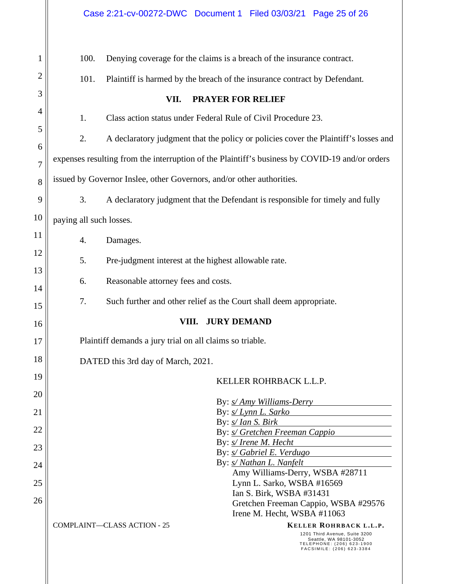| 1              | 100.                                                                                           | Denying coverage for the claims is a breach of the insurance contract.                                                                                                            |  |  |  |
|----------------|------------------------------------------------------------------------------------------------|-----------------------------------------------------------------------------------------------------------------------------------------------------------------------------------|--|--|--|
| $\mathbf{2}$   | 101.                                                                                           | Plaintiff is harmed by the breach of the insurance contract by Defendant.                                                                                                         |  |  |  |
| 3              | <b>PRAYER FOR RELIEF</b><br>VII.                                                               |                                                                                                                                                                                   |  |  |  |
| $\overline{4}$ | 1.                                                                                             | Class action status under Federal Rule of Civil Procedure 23.                                                                                                                     |  |  |  |
| 5              | 2.                                                                                             | A declaratory judgment that the policy or policies cover the Plaintiff's losses and                                                                                               |  |  |  |
| 6              | expenses resulting from the interruption of the Plaintiff's business by COVID-19 and/or orders |                                                                                                                                                                                   |  |  |  |
| $\overline{7}$ |                                                                                                |                                                                                                                                                                                   |  |  |  |
| 8              | issued by Governor Inslee, other Governors, and/or other authorities.                          |                                                                                                                                                                                   |  |  |  |
| 9              | 3.                                                                                             | A declaratory judgment that the Defendant is responsible for timely and fully                                                                                                     |  |  |  |
| 10             | paying all such losses.                                                                        |                                                                                                                                                                                   |  |  |  |
| 11             | 4.                                                                                             | Damages.                                                                                                                                                                          |  |  |  |
| 12             | 5.<br>Pre-judgment interest at the highest allowable rate.                                     |                                                                                                                                                                                   |  |  |  |
| 13             | 6.                                                                                             | Reasonable attorney fees and costs.                                                                                                                                               |  |  |  |
| 14             | 7.                                                                                             | Such further and other relief as the Court shall deem appropriate.                                                                                                                |  |  |  |
| 15             | <b>JURY DEMAND</b><br>VIII.                                                                    |                                                                                                                                                                                   |  |  |  |
| 16             |                                                                                                |                                                                                                                                                                                   |  |  |  |
| 17             | Plaintiff demands a jury trial on all claims so triable.                                       |                                                                                                                                                                                   |  |  |  |
| 18<br>19       | DATED this 3rd day of March, 2021.                                                             |                                                                                                                                                                                   |  |  |  |
|                |                                                                                                | KELLER ROHRBACK L.L.P.                                                                                                                                                            |  |  |  |
| 20<br>21       |                                                                                                | By: <i>s/ Amy Williams-Derry</i><br>By: s/ Lynn L. Sarko                                                                                                                          |  |  |  |
|                |                                                                                                | By: <i>s/ Ian S. Birk</i>                                                                                                                                                         |  |  |  |
| 22             |                                                                                                | By: <i>s/ Gretchen Freeman Cappio</i><br>By: <i>s/ Irene M. Hecht</i>                                                                                                             |  |  |  |
| 23             |                                                                                                | By: <i>s/ Gabriel E. Verdugo</i>                                                                                                                                                  |  |  |  |
| 24             |                                                                                                | By: s/ Nathan L. Nanfelt<br>Amy Williams-Derry, WSBA #28711                                                                                                                       |  |  |  |
| 25             |                                                                                                | Lynn L. Sarko, WSBA #16569<br>Ian S. Birk, WSBA #31431                                                                                                                            |  |  |  |
| 26             |                                                                                                | Gretchen Freeman Cappio, WSBA #29576<br>Irene M. Hecht, WSBA #11063                                                                                                               |  |  |  |
|                |                                                                                                | <b>COMPLAINT-CLASS ACTION - 25</b><br>KELLER ROHRBACK L.L.P.<br>1201 Third Avenue, Suite 3200<br>Seattle, WA 98101-3052<br>TELEPHONE: (206) 623-1900<br>FACSIMILE: (206) 623-3384 |  |  |  |